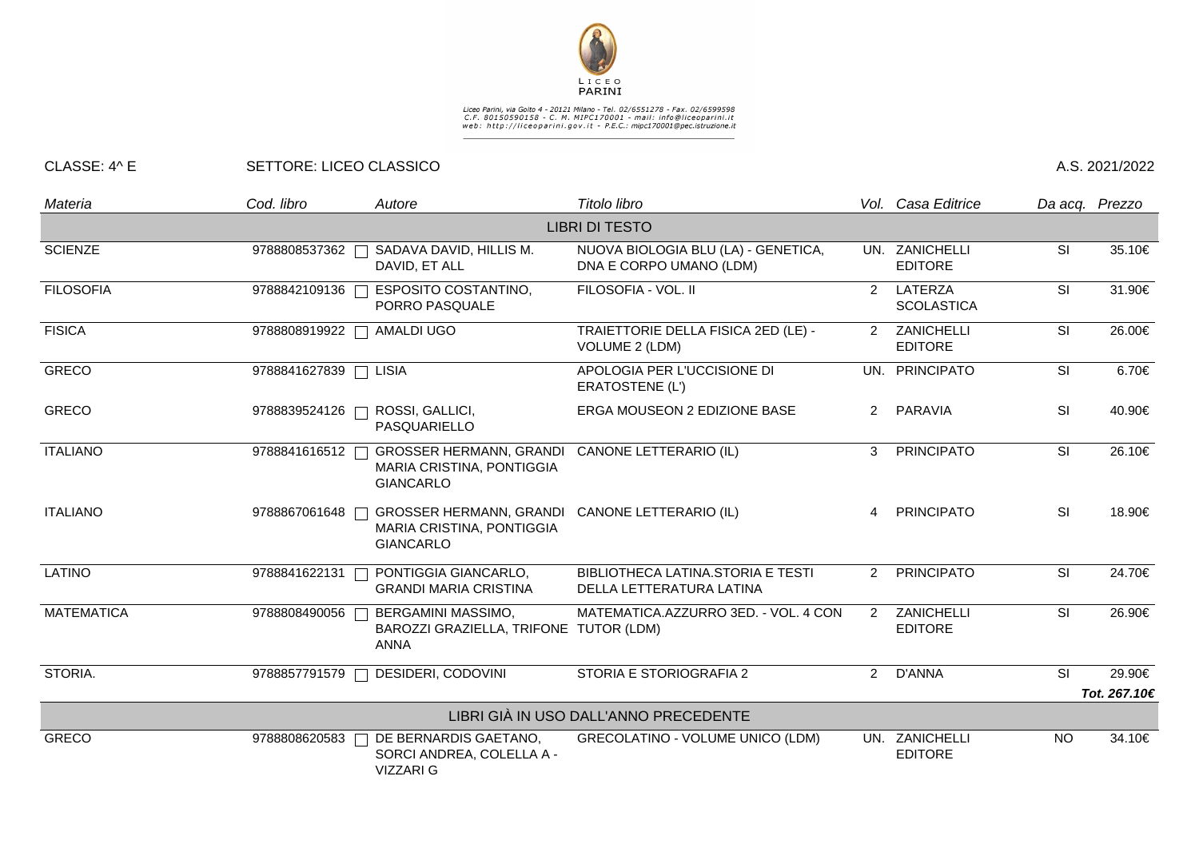

## Liceo Parini, via Goito 4 - 20121 Milano - Tel. 02/6551278 - Fax. 02/6599598<br>C.F. 80150590158 - C. M. MIPC170001 - mail: info@liceoparini.it<br>web: http://liceoparini.gov.it - P.E.C.: mipc170001@pec.istruzione.it

## CLASSE: 4^ E SETTORE: LICEO CLASSICO A.S. 2021/2022

| Materia               | Cod. libro            | Autore                                                                                          | Titolo libro                                                   |                      | Vol. Casa Editrice               |           | Da acq. Prezzo |  |  |  |
|-----------------------|-----------------------|-------------------------------------------------------------------------------------------------|----------------------------------------------------------------|----------------------|----------------------------------|-----------|----------------|--|--|--|
| <b>LIBRI DI TESTO</b> |                       |                                                                                                 |                                                                |                      |                                  |           |                |  |  |  |
| <b>SCIENZE</b>        | 9788808537362         | SADAVA DAVID, HILLIS M.<br>DAVID, ET ALL                                                        | NUOVA BIOLOGIA BLU (LA) - GENETICA,<br>DNA E CORPO UMANO (LDM) |                      | UN. ZANICHELLI<br><b>EDITORE</b> | SI        | 35.10€         |  |  |  |
| <b>FILOSOFIA</b>      | 9788842109136         | <b>ESPOSITO COSTANTINO,</b><br>PORRO PASQUALE                                                   | FILOSOFIA - VOL. II                                            | $\mathbf{2}^{\circ}$ | LATERZA<br><b>SCOLASTICA</b>     | <b>SI</b> | 31.90€         |  |  |  |
| <b>FISICA</b>         | 9788808919922         | AMALDI UGO                                                                                      | TRAIETTORIE DELLA FISICA 2ED (LE) -<br>VOLUME 2 (LDM)          |                      | 2 ZANICHELLI<br><b>EDITORE</b>   | <b>SI</b> | 26.00€         |  |  |  |
| <b>GRECO</b>          | 9788841627839   LISIA |                                                                                                 | APOLOGIA PER L'UCCISIONE DI<br>ERATOSTENE (L')                 |                      | UN. PRINCIPATO                   | SI        | 6.70€          |  |  |  |
| <b>GRECO</b>          | 9788839524126         | ROSSI, GALLICI,<br>PASQUARIELLO                                                                 | ERGA MOUSEON 2 EDIZIONE BASE                                   | 2                    | PARAVIA                          | SI        | 40.90€         |  |  |  |
| <b>ITALIANO</b>       | 9788841616512         | <b>GROSSER HERMANN, GRANDI</b><br>MARIA CRISTINA, PONTIGGIA<br><b>GIANCARLO</b>                 | <b>CANONE LETTERARIO (IL)</b>                                  | 3                    | <b>PRINCIPATO</b>                | SI        | 26.10€         |  |  |  |
| <b>ITALIANO</b>       | 9788867061648         | GROSSER HERMANN, GRANDI CANONE LETTERARIO (IL)<br>MARIA CRISTINA, PONTIGGIA<br><b>GIANCARLO</b> |                                                                | $\overline{A}$       | <b>PRINCIPATO</b>                | <b>SI</b> | 18.90€         |  |  |  |
| <b>LATINO</b>         | 9788841622131         | PONTIGGIA GIANCARLO,<br><b>GRANDI MARIA CRISTINA</b>                                            | BIBLIOTHECA LATINA.STORIA E TESTI<br>DELLA LETTERATURA LATINA  | $\overline{2}$       | <b>PRINCIPATO</b>                | SI        | 24.70€         |  |  |  |
| <b>MATEMATICA</b>     | 9788808490056         | BERGAMINI MASSIMO,<br>BAROZZI GRAZIELLA, TRIFONE TUTOR (LDM)<br><b>ANNA</b>                     | MATEMATICA.AZZURRO 3ED. - VOL. 4 CON                           | 2                    | ZANICHELLI<br><b>EDITORE</b>     | <b>SI</b> | 26.90€         |  |  |  |
| STORIA.               | 9788857791579         | DESIDERI, CODOVINI                                                                              | STORIA E STORIOGRAFIA 2                                        | $\overline{2}$       | D'ANNA                           | <b>SI</b> | 29.90€         |  |  |  |
|                       |                       |                                                                                                 |                                                                |                      |                                  |           | Tot. 267.10€   |  |  |  |
|                       |                       |                                                                                                 | LIBRI GIÀ IN USO DALL'ANNO PRECEDENTE                          |                      |                                  |           |                |  |  |  |
| <b>GRECO</b>          | 9788808620583         | DE BERNARDIS GAETANO,<br>SORCI ANDREA, COLELLA A -<br><b>VIZZARI G</b>                          | <b>GRECOLATINO - VOLUME UNICO (LDM)</b>                        |                      | UN. ZANICHELLI<br><b>EDITORE</b> | <b>NO</b> | 34.10€         |  |  |  |